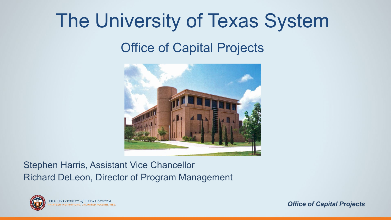# The University of Texas System

#### Office of Capital Projects



Stephen Harris, Assistant Vice Chancellor Richard DeLeon, Director of Program Management



*Office of Capital Projects*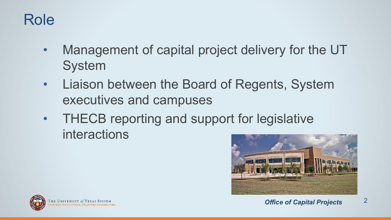#### Role

- Management of capital project delivery for the UT System
- Liaison between the Board of Regents, System executives and campuses
- THECB reporting and support for legislative interactions



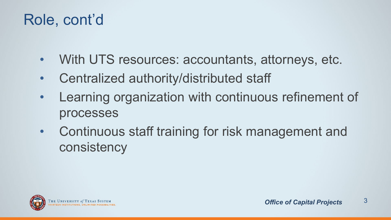#### Role, cont'd

- With UTS resources: accountants, attorneys, etc.
- Centralized authority/distributed staff
- Learning organization with continuous refinement of processes
- Continuous staff training for risk management and consistency

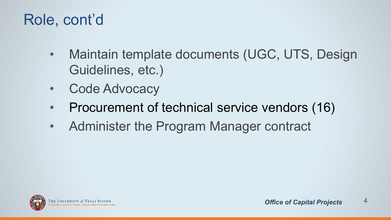#### Role, cont'd

- Maintain template documents (UGC, UTS, Design Guidelines, etc.)
- Code Advocacy
- Procurement of technical service vendors (16)
- Administer the Program Manager contract

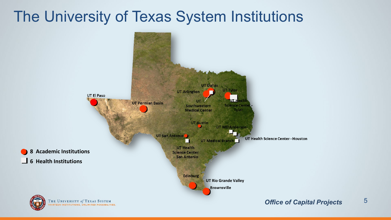#### The University of Texas System Institutions

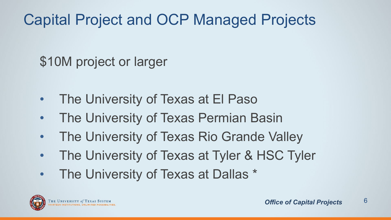### Capital Project and OCP Managed Projects

\$10M project or larger

- The University of Texas at El Paso
- The University of Texas Permian Basin
- The University of Texas Rio Grande Valley
- The University of Texas at Tyler & HSC Tyler
- The University of Texas at Dallas \*

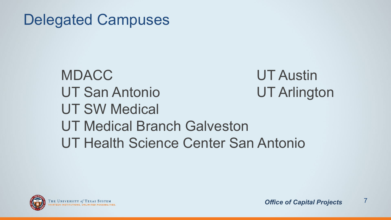#### Delegated Campuses

MDACC UT Austin UT San Antonio UT Arlington UT SW Medical UT Medical Branch Galveston UT Health Science Center San Antonio

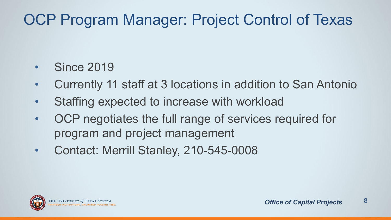### OCP Program Manager: Project Control of Texas

- Since 2019
- Currently 11 staff at 3 locations in addition to San Antonio
- Staffing expected to increase with workload
- OCP negotiates the full range of services required for program and project management
- Contact: Merrill Stanley, 210-545-0008

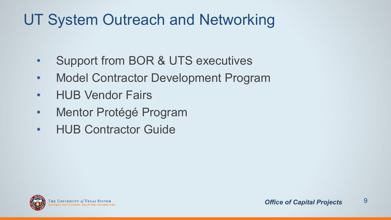### UT System Outreach and Networking

- Support from BOR & UTS executives
- Model Contractor Development Program
- HUB Vendor Fairs
- Mentor Protégé Program
- HUB Contractor Guide

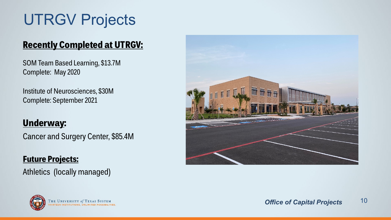## UTRGV Projects

#### **Recently Completed at UTRGV:**

SOM Team Based Learning, \$13.7M Complete: May 2020

Institute of Neurosciences, \$30M Complete: September 2021

#### **Underway:**

Cancer and Surgery Center, \$85.4M

#### **Future Projects:**

Athletics (locally managed)

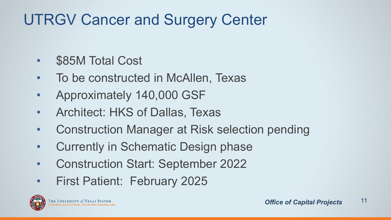### UTRGV Cancer and Surgery Center

- \$85M Total Cost
- To be constructed in McAllen, Texas
- Approximately 140,000 GSF
- Architect: HKS of Dallas, Texas
- Construction Manager at Risk selection pending
- Currently in Schematic Design phase
- Construction Start: September 2022
- First Patient: February 2025